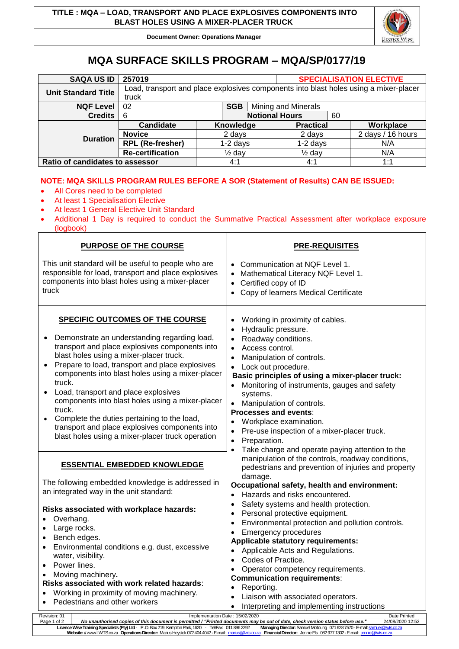**Document Owner: Operations Manager**



## **MQA SURFACE SKILLS PROGRAM – MQA/SP/0177/19**

| <b>SAQA US ID</b>               | 257019                                                                                         |                       |  |                  | <b>SPECIALISATION ELECTIVE</b> |           |                   |  |
|---------------------------------|------------------------------------------------------------------------------------------------|-----------------------|--|------------------|--------------------------------|-----------|-------------------|--|
| <b>Unit Standard Title</b>      | Load, transport and place explosives components into blast holes using a mixer-placer<br>truck |                       |  |                  |                                |           |                   |  |
| <b>NQF Level</b>                | <b>SGB</b><br>02                                                                               |                       |  |                  | <b>Mining and Minerals</b>     |           |                   |  |
| <b>Credits</b>                  | 6                                                                                              | <b>Notional Hours</b> |  |                  | 60                             |           |                   |  |
| <b>Duration</b>                 | <b>Candidate</b>                                                                               | Knowledge             |  | <b>Practical</b> |                                | Workplace |                   |  |
|                                 | <b>Novice</b>                                                                                  | 2 days                |  |                  | 2 days                         |           | 2 days / 16 hours |  |
|                                 | <b>RPL (Re-fresher)</b>                                                                        | $1-2$ days            |  | $1-2$ days       |                                | N/A       |                   |  |
|                                 | <b>Re-certification</b>                                                                        | $\frac{1}{2}$ day     |  |                  | $\frac{1}{2}$ day              |           | N/A               |  |
| Ratio of candidates to assessor |                                                                                                | 4:1                   |  | 4:1              |                                | 1:1       |                   |  |

## **NOTE: MQA SKILLS PROGRAM RULES BEFORE A SOR (Statement of Results) CAN BE ISSUED:**

- All Cores need to be completed
- At least 1 Specialisation Elective
- At least 1 General Elective Unit Standard
- Additional 1 Day is required to conduct the Summative Practical Assessment after workplace exposure (logbook) Τ ┑

| <b>PURPOSE OF THE COURSE</b>                                                                                                                                                                                                                                                                                                                                                                                                                                                                                                                             | <b>PRE-REQUISITES</b>                                                                                                                                                                                                                                                                                                                                                                                                                                                                                                                                                                                                                                                |  |  |  |  |  |
|----------------------------------------------------------------------------------------------------------------------------------------------------------------------------------------------------------------------------------------------------------------------------------------------------------------------------------------------------------------------------------------------------------------------------------------------------------------------------------------------------------------------------------------------------------|----------------------------------------------------------------------------------------------------------------------------------------------------------------------------------------------------------------------------------------------------------------------------------------------------------------------------------------------------------------------------------------------------------------------------------------------------------------------------------------------------------------------------------------------------------------------------------------------------------------------------------------------------------------------|--|--|--|--|--|
| This unit standard will be useful to people who are<br>responsible for load, transport and place explosives<br>components into blast holes using a mixer-placer<br>truck                                                                                                                                                                                                                                                                                                                                                                                 | • Communication at NQF Level 1.<br>• Mathematical Literacy NQF Level 1.<br>Certified copy of ID<br>$\bullet$<br>Copy of learners Medical Certificate<br>$\bullet$                                                                                                                                                                                                                                                                                                                                                                                                                                                                                                    |  |  |  |  |  |
| SPECIFIC OUTCOMES OF THE COURSE<br>Demonstrate an understanding regarding load,<br>transport and place explosives components into<br>blast holes using a mixer-placer truck.<br>Prepare to load, transport and place explosives<br>components into blast holes using a mixer-placer<br>truck.<br>Load, transport and place explosives<br>components into blast holes using a mixer-placer<br>truck.<br>Complete the duties pertaining to the load,<br>transport and place explosives components into<br>blast holes using a mixer-placer truck operation | Working in proximity of cables.<br>$\bullet$<br>Hydraulic pressure.<br>$\bullet$<br>Roadway conditions.<br>• Access control.<br>Manipulation of controls.<br>$\bullet$<br>• Lock out procedure.<br>Basic principles of using a mixer-placer truck:<br>• Monitoring of instruments, gauges and safety<br>systems.<br>• Manipulation of controls.<br>Processes and events:<br>Workplace examination.<br>Pre-use inspection of a mixer-placer truck.<br>Preparation.<br>$\bullet$<br>Take charge and operate paying attention to the                                                                                                                                    |  |  |  |  |  |
| <b>ESSENTIAL EMBEDDED KNOWLEDGE</b><br>The following embedded knowledge is addressed in<br>an integrated way in the unit standard:                                                                                                                                                                                                                                                                                                                                                                                                                       | manipulation of the controls, roadway conditions,<br>pedestrians and prevention of injuries and property<br>damage.<br>Occupational safety, health and environment:<br>Hazards and risks encountered.<br>Safety systems and health protection.<br>Personal protective equipment.<br>Environmental protection and pollution controls.<br>$\bullet$<br><b>Emergency procedures</b><br><b>Applicable statutory requirements:</b><br>Applicable Acts and Regulations.<br>Codes of Practice.<br>Operator competency requirements.<br><b>Communication requirements:</b><br>Reporting.<br>Liaison with associated operators.<br>Interpreting and implementing instructions |  |  |  |  |  |
| Risks associated with workplace hazards:<br>Overhang.<br>Large rocks.<br>$\bullet$<br>• Bench edges.<br>Environmental conditions e.g. dust, excessive<br>$\bullet$<br>water, visibility.<br>Power lines.<br>Moving machinery.<br>Risks associated with work related hazards:<br>Working in proximity of moving machinery.<br>Pedestrians and other workers<br>$\bullet$                                                                                                                                                                                  |                                                                                                                                                                                                                                                                                                                                                                                                                                                                                                                                                                                                                                                                      |  |  |  |  |  |
| Implementation Date: 15/02/2020<br>Revision: 01<br>No unauthorised copies of this document is permitted / "Printed documents may be out of date, check version status before use."<br>Page 1 of 2                                                                                                                                                                                                                                                                                                                                                        | Date Printed<br>24/08/2020 12:52                                                                                                                                                                                                                                                                                                                                                                                                                                                                                                                                                                                                                                     |  |  |  |  |  |
| Licence Wise Training Specialists (Pty) Ltd - P.O. Box 219, Kempton Park, 1620 - Tel/Fax: 011 896 2292<br>Website: //www.LWTS.co.za Operations Director: Marius Heystek 072 404 4042 - E-mail: marius@lwts                                                                                                                                                                                                                                                                                                                                               | Managing Director: Samuel Motloung 071 628 7570 - E-mail: samuel@lwts.co.za<br>Financial Director: Jennie Els 082 977 1302 - E-mail: jennie@lwts                                                                                                                                                                                                                                                                                                                                                                                                                                                                                                                     |  |  |  |  |  |